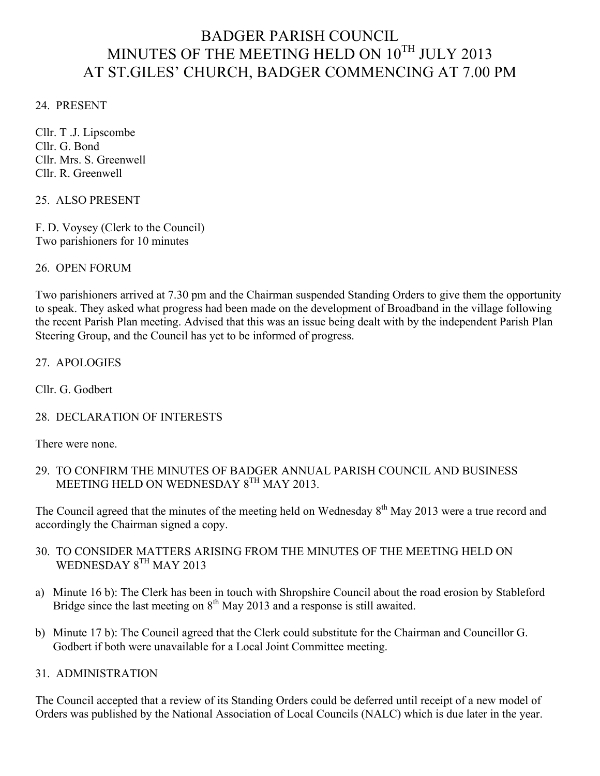# BADGER PARISH COUNCIL MINUTES OF THE MEETING HELD ON  $10^{TH}$  JULY 2013 AT ST.GILES' CHURCH, BADGER COMMENCING AT 7.00 PM

24. PRESENT

Cllr. T .J. Lipscombe Cllr. G. Bond Cllr. Mrs. S. Greenwell Cllr. R. Greenwell

#### 25. ALSO PRESENT

F. D. Voysey (Clerk to the Council) Two parishioners for 10 minutes

26. OPEN FORUM

Two parishioners arrived at 7.30 pm and the Chairman suspended Standing Orders to give them the opportunity to speak. They asked what progress had been made on the development of Broadband in the village following the recent Parish Plan meeting. Advised that this was an issue being dealt with by the independent Parish Plan Steering Group, and the Council has yet to be informed of progress.

#### 27. APOLOGIES

Cllr. G. Godbert

28. DECLARATION OF INTERESTS

There were none.

29. TO CONFIRM THE MINUTES OF BADGER ANNUAL PARISH COUNCIL AND BUSINESS MEETING HELD ON WEDNESDAY 8TH MAY 2013.

The Council agreed that the minutes of the meeting held on Wednesday 8<sup>th</sup> May 2013 were a true record and accordingly the Chairman signed a copy.

- 30. TO CONSIDER MATTERS ARISING FROM THE MINUTES OF THE MEETING HELD ON WEDNESDAY 8TH MAY 2013
- a) Minute 16 b): The Clerk has been in touch with Shropshire Council about the road erosion by Stableford Bridge since the last meeting on  $8<sup>th</sup>$  May 2013 and a response is still awaited.
- b) Minute 17 b): The Council agreed that the Clerk could substitute for the Chairman and Councillor G. Godbert if both were unavailable for a Local Joint Committee meeting.

### 31. ADMINISTRATION

The Council accepted that a review of its Standing Orders could be deferred until receipt of a new model of Orders was published by the National Association of Local Councils (NALC) which is due later in the year.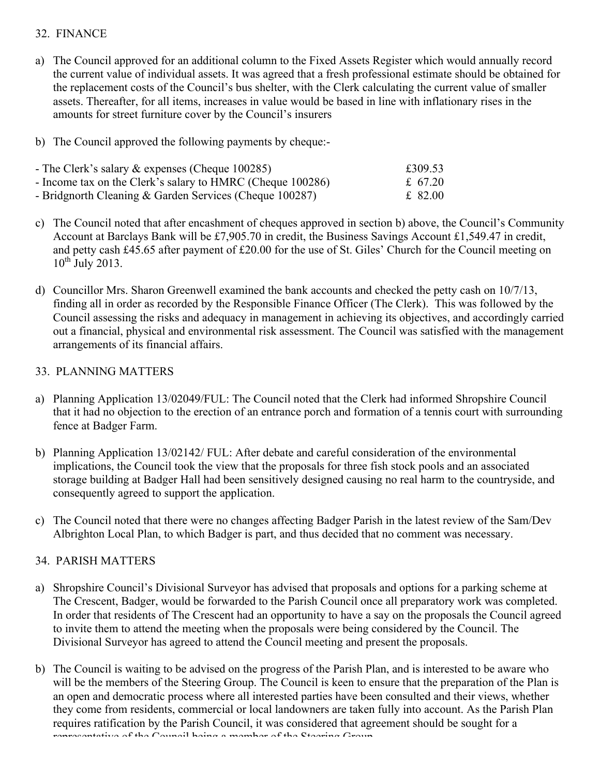## 32. FINANCE

- a) The Council approved for an additional column to the Fixed Assets Register which would annually record the current value of individual assets. It was agreed that a fresh professional estimate should be obtained for the replacement costs of the Council's bus shelter, with the Clerk calculating the current value of smaller assets. Thereafter, for all items, increases in value would be based in line with inflationary rises in the amounts for street furniture cover by the Council's insurers
- b) The Council approved the following payments by cheque:-

| - The Clerk's salary $\&$ expenses (Cheque 100285)         | £309.53 |
|------------------------------------------------------------|---------|
| - Income tax on the Clerk's salary to HMRC (Cheque 100286) | £ 67.20 |
| - Bridgnorth Cleaning $&$ Garden Services (Cheque 100287)  | £ 82.00 |

- c) The Council noted that after encashment of cheques approved in section b) above, the Council's Community Account at Barclays Bank will be £7,905.70 in credit, the Business Savings Account £1,549.47 in credit, and petty cash £45.65 after payment of £20.00 for the use of St. Giles' Church for the Council meeting on  $10^{th}$  July 2013.
- d) Councillor Mrs. Sharon Greenwell examined the bank accounts and checked the petty cash on 10/7/13, finding all in order as recorded by the Responsible Finance Officer (The Clerk). This was followed by the Council assessing the risks and adequacy in management in achieving its objectives, and accordingly carried out a financial, physical and environmental risk assessment. The Council was satisfied with the management arrangements of its financial affairs.

## 33. PLANNING MATTERS

- a) Planning Application 13/02049/FUL: The Council noted that the Clerk had informed Shropshire Council that it had no objection to the erection of an entrance porch and formation of a tennis court with surrounding fence at Badger Farm.
- b) Planning Application 13/02142/ FUL: After debate and careful consideration of the environmental implications, the Council took the view that the proposals for three fish stock pools and an associated storage building at Badger Hall had been sensitively designed causing no real harm to the countryside, and consequently agreed to support the application.
- c) The Council noted that there were no changes affecting Badger Parish in the latest review of the Sam/Dev Albrighton Local Plan, to which Badger is part, and thus decided that no comment was necessary.

# 34. PARISH MATTERS

- a) Shropshire Council's Divisional Surveyor has advised that proposals and options for a parking scheme at The Crescent, Badger, would be forwarded to the Parish Council once all preparatory work was completed. In order that residents of The Crescent had an opportunity to have a say on the proposals the Council agreed to invite them to attend the meeting when the proposals were being considered by the Council. The Divisional Surveyor has agreed to attend the Council meeting and present the proposals.
- b) The Council is waiting to be advised on the progress of the Parish Plan, and is interested to be aware who will be the members of the Steering Group. The Council is keen to ensure that the preparation of the Plan is an open and democratic process where all interested parties have been consulted and their views, whether they come from residents, commercial or local landowners are taken fully into account. As the Parish Plan requires ratification by the Parish Council, it was considered that agreement should be sought for a representative of the Council being a member of the Steering Group.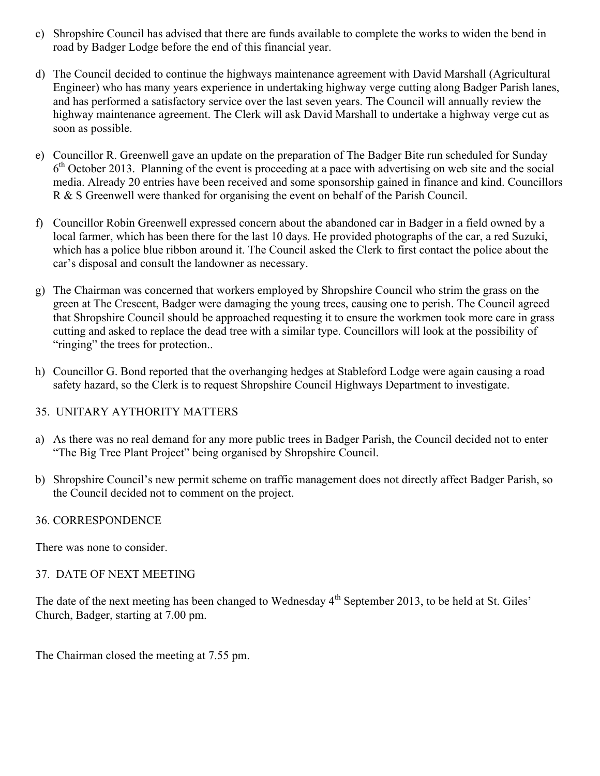- c) Shropshire Council has advised that there are funds available to complete the works to widen the bend in road by Badger Lodge before the end of this financial year.
- d) The Council decided to continue the highways maintenance agreement with David Marshall (Agricultural Engineer) who has many years experience in undertaking highway verge cutting along Badger Parish lanes, and has performed a satisfactory service over the last seven years. The Council will annually review the highway maintenance agreement. The Clerk will ask David Marshall to undertake a highway verge cut as soon as possible.
- e) Councillor R. Greenwell gave an update on the preparation of The Badger Bite run scheduled for Sunday 6<sup>th</sup> October 2013. Planning of the event is proceeding at a pace with advertising on web site and the social media. Already 20 entries have been received and some sponsorship gained in finance and kind. Councillors R & S Greenwell were thanked for organising the event on behalf of the Parish Council.
- f) Councillor Robin Greenwell expressed concern about the abandoned car in Badger in a field owned by a local farmer, which has been there for the last 10 days. He provided photographs of the car, a red Suzuki, which has a police blue ribbon around it. The Council asked the Clerk to first contact the police about the car's disposal and consult the landowner as necessary.
- g) The Chairman was concerned that workers employed by Shropshire Council who strim the grass on the green at The Crescent, Badger were damaging the young trees, causing one to perish. The Council agreed that Shropshire Council should be approached requesting it to ensure the workmen took more care in grass cutting and asked to replace the dead tree with a similar type. Councillors will look at the possibility of "ringing" the trees for protection...
- h) Councillor G. Bond reported that the overhanging hedges at Stableford Lodge were again causing a road safety hazard, so the Clerk is to request Shropshire Council Highways Department to investigate.

# 35. UNITARY AYTHORITY MATTERS

- a) As there was no real demand for any more public trees in Badger Parish, the Council decided not to enter "The Big Tree Plant Project" being organised by Shropshire Council.
- b) Shropshire Council's new permit scheme on traffic management does not directly affect Badger Parish, so the Council decided not to comment on the project.

### 36. CORRESPONDENCE

There was none to consider.

### 37. DATE OF NEXT MEETING

The date of the next meeting has been changed to Wednesday 4<sup>th</sup> September 2013, to be held at St. Giles' Church, Badger, starting at 7.00 pm.

The Chairman closed the meeting at 7.55 pm.